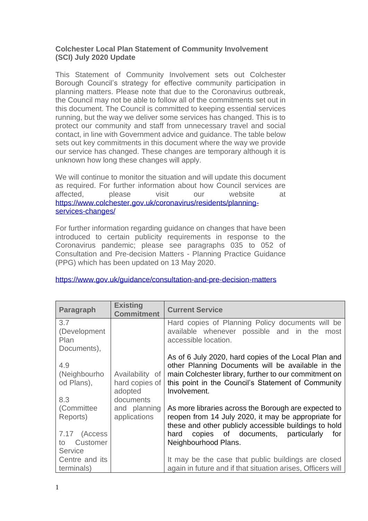#### **Colchester Local Plan Statement of Community Involvement (SCI) July 2020 Update**

This Statement of Community Involvement sets out Colchester Borough Council's strategy for effective community participation in planning matters. Please note that due to the Coronavirus outbreak, the Council may not be able to follow all of the commitments set out in this document. The Council is committed to keeping essential services running, but the way we deliver some services has changed. This is to protect our community and staff from unnecessary travel and social contact, in line with Government advice and guidance. The table below sets out key commitments in this document where the way we provide our service has changed. These changes are temporary although it is unknown how long these changes will apply.

We will continue to monitor the situation and will update this document as required. For further information about how Council services are affected, please visit our website at [https://www.colchester.gov.uk/coronavirus/residents/planning](https://www.colchester.gov.uk/coronavirus/residents/planning-services-changes/)[services-changes/](https://www.colchester.gov.uk/coronavirus/residents/planning-services-changes/)

For further information regarding guidance on changes that have been introduced to certain publicity requirements in response to the Coronavirus pandemic; please see paragraphs 035 to 052 of Consultation and Pre-decision Matters - Planning Practice Guidance (PPG) which has been updated on 13 May 2020.

| Paragraph           | <b>Existing</b><br><b>Commitment</b> | <b>Current Service</b>                                                                                       |
|---------------------|--------------------------------------|--------------------------------------------------------------------------------------------------------------|
| 3.7                 |                                      | Hard copies of Planning Policy documents will be                                                             |
| (Development        |                                      | available whenever possible and in the<br>most                                                               |
| Plan<br>Documents), |                                      | accessible location.                                                                                         |
|                     |                                      | As of 6 July 2020, hard copies of the Local Plan and                                                         |
| 4.9                 |                                      | other Planning Documents will be available in the                                                            |
| (Neighbourho        | Availability of                      | main Colchester library, further to our commitment on                                                        |
| od Plans),          | hard copies of                       | this point in the Council's Statement of Community                                                           |
|                     | adopted                              | Involvement.                                                                                                 |
| 8.3                 | documents                            |                                                                                                              |
| (Committee)         | and planning                         | As more libraries across the Borough are expected to                                                         |
| Reports)            | applications                         | reopen from 14 July 2020, it may be appropriate for<br>these and other publicly accessible buildings to hold |
| 7.17 (Access        |                                      | copies of documents, particularly<br>hard<br>for                                                             |
| Customer<br>to      |                                      | Neighbourhood Plans.                                                                                         |
| <b>Service</b>      |                                      |                                                                                                              |
| Centre and its      |                                      | It may be the case that public buildings are closed                                                          |
| terminals)          |                                      | again in future and if that situation arises, Officers will                                                  |

<https://www.gov.uk/guidance/consultation-and-pre-decision-matters>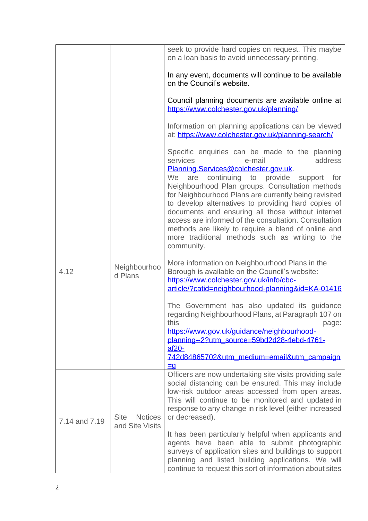|               |                                                  | seek to provide hard copies on request. This maybe<br>on a loan basis to avoid unnecessary printing.                                                                                                                                                                                                                                                                                                                                                             |
|---------------|--------------------------------------------------|------------------------------------------------------------------------------------------------------------------------------------------------------------------------------------------------------------------------------------------------------------------------------------------------------------------------------------------------------------------------------------------------------------------------------------------------------------------|
|               |                                                  | In any event, documents will continue to be available<br>on the Council's website.                                                                                                                                                                                                                                                                                                                                                                               |
|               |                                                  | Council planning documents are available online at<br>https://www.colchester.gov.uk/planning/.                                                                                                                                                                                                                                                                                                                                                                   |
|               |                                                  | Information on planning applications can be viewed<br>at: https://www.colchester.gov.uk/planning-search/                                                                                                                                                                                                                                                                                                                                                         |
|               |                                                  | Specific enquiries can be made to the planning<br>address<br>services<br>e-mail<br>Planning.Services@colchester.gov.uk.                                                                                                                                                                                                                                                                                                                                          |
| 4.12          |                                                  | provide<br>continuing to<br>We<br>support<br>for<br>are<br>Neighbourhood Plan groups. Consultation methods<br>for Neighbourhood Plans are currently being revisited<br>to develop alternatives to providing hard copies of<br>documents and ensuring all those without internet<br>access are informed of the consultation. Consultation<br>methods are likely to require a blend of online and<br>more traditional methods such as writing to the<br>community. |
|               | Neighbourhoo<br>d Plans                          | More information on Neighbourhood Plans in the<br>Borough is available on the Council's website:<br>https://www.colchester.gov.uk/info/cbc-<br>article/?catid=neighbourhood-planning&id=KA-01416                                                                                                                                                                                                                                                                 |
|               |                                                  | The Government has also updated its guidance<br>regarding Neighbourhood Plans, at Paragraph 107 on<br>this<br>page:<br>https://www.gov.uk/guidance/neighbourhood-<br>planning--2?utm_source=59bd2d28-4ebd-4761-<br>$af20-$<br>742d84865702&utm_medium=email&utm_campaign<br>$\equiv 9$                                                                                                                                                                           |
| 7.14 and 7.19 | <b>Site</b><br><b>Notices</b><br>and Site Visits | Officers are now undertaking site visits providing safe<br>social distancing can be ensured. This may include<br>low-risk outdoor areas accessed from open areas.<br>This will continue to be monitored and updated in<br>response to any change in risk level (either increased<br>or decreased).                                                                                                                                                               |
|               |                                                  | It has been particularly helpful when applicants and<br>agents have been able to submit photographic<br>surveys of application sites and buildings to support<br>planning and listed building applications. We will<br>continue to request this sort of information about sites                                                                                                                                                                                  |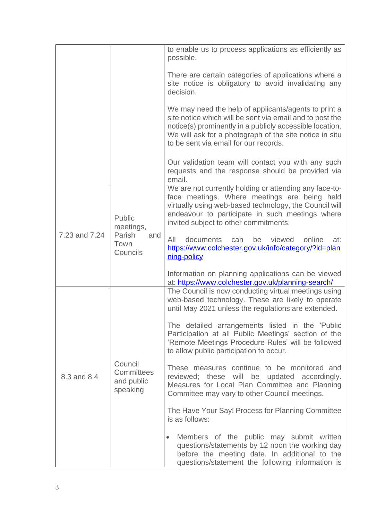|               |                                                          | to enable us to process applications as efficiently as<br>possible.                                                                                                                                                                                                              |
|---------------|----------------------------------------------------------|----------------------------------------------------------------------------------------------------------------------------------------------------------------------------------------------------------------------------------------------------------------------------------|
|               |                                                          | There are certain categories of applications where a<br>site notice is obligatory to avoid invalidating any<br>decision.                                                                                                                                                         |
|               |                                                          | We may need the help of applicants/agents to print a<br>site notice which will be sent via email and to post the<br>notice(s) prominently in a publicly accessible location.<br>We will ask for a photograph of the site notice in situ<br>to be sent via email for our records. |
|               |                                                          | Our validation team will contact you with any such<br>requests and the response should be provided via<br>email.                                                                                                                                                                 |
| 7.23 and 7.24 | Public<br>meetings,<br>Parish<br>and<br>Town<br>Councils | We are not currently holding or attending any face-to-<br>face meetings. Where meetings are being held<br>virtually using web-based technology, the Council will<br>endeavour to participate in such meetings where<br>invited subject to other commitments.                     |
|               |                                                          | All<br>documents<br>online<br>be<br>viewed<br>at:<br>can<br>https://www.colchester.gov.uk/info/category/?id=plan<br>ning-policy                                                                                                                                                  |
|               |                                                          | Information on planning applications can be viewed<br>at: https://www.colchester.gov.uk/planning-search/                                                                                                                                                                         |
| 8.3 and 8.4   | Council<br>Committees<br>and public<br>speaking          | The Council is now conducting virtual meetings using<br>web-based technology. These are likely to operate<br>until May 2021 unless the regulations are extended.                                                                                                                 |
|               |                                                          | The detailed arrangements listed in the 'Public<br>Participation at all Public Meetings' section of the<br>'Remote Meetings Procedure Rules' will be followed<br>to allow public participation to occur.                                                                         |
|               |                                                          | These measures continue to be monitored and<br>reviewed; these will be updated accordingly.<br>Measures for Local Plan Committee and Planning<br>Committee may vary to other Council meetings.                                                                                   |
|               |                                                          | The Have Your Say! Process for Planning Committee<br>is as follows:                                                                                                                                                                                                              |
|               |                                                          | Members of the public may submit written<br>$\bullet$<br>questions/statements by 12 noon the working day<br>before the meeting date. In additional to the<br>questions/statement the following information is                                                                    |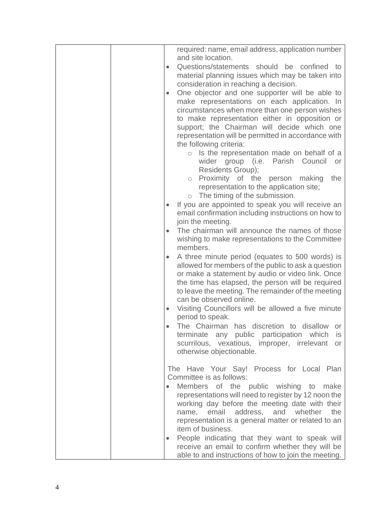|           | required: name, email address, application number<br>and site location.                                |
|-----------|--------------------------------------------------------------------------------------------------------|
| $\bullet$ | Questions/statements should be confined to                                                             |
|           | material planning issues which may be taken into                                                       |
|           | consideration in reaching a decision.                                                                  |
| $\bullet$ | One objector and one supporter will be able to                                                         |
|           | make representations on each application. In                                                           |
|           | circumstances when more than one person wishes                                                         |
|           | to make representation either in opposition or                                                         |
|           | support; the Chairman will decide which one                                                            |
|           | representation will be permitted in accordance with                                                    |
|           | the following criteria:                                                                                |
|           | $\circ$ Is the representation made on behalf of a                                                      |
|           | wider group (i.e. Parish Council<br>or<br><b>Residents Group);</b>                                     |
|           | Proximity of the person making<br>the<br>$\circ$                                                       |
|           | representation to the application site;                                                                |
|           | $\circ$ The timing of the submission.                                                                  |
|           | If you are appointed to speak you will receive an                                                      |
|           | email confirmation including instructions on how to                                                    |
|           | join the meeting.                                                                                      |
| $\bullet$ | The chairman will announce the names of those                                                          |
|           | wishing to make representations to the Committee                                                       |
|           | members.                                                                                               |
| $\bullet$ | A three minute period (equates to 500 words) is<br>allowed for members of the public to ask a question |
|           | or make a statement by audio or video link. Once                                                       |
|           | the time has elapsed, the person will be required                                                      |
|           | to leave the meeting. The remainder of the meeting                                                     |
|           | can be observed online.                                                                                |
|           | Visiting Councillors will be allowed a five minute                                                     |
|           | period to speak.                                                                                       |
|           | The Chairman has discretion to disallow<br>or                                                          |
|           | terminate any public participation which<br>is                                                         |
|           | scurrilous, vexatious, improper, irrelevant<br>or                                                      |
|           | otherwise objectionable.                                                                               |
|           | The Have Your Say! Process for Local Plan                                                              |
|           | Committee is as follows:                                                                               |
|           | Members of the public wishing to<br>make                                                               |
|           | representations will need to register by 12 noon the                                                   |
|           | working day before the meeting date with their                                                         |
|           | email<br>address, and<br>whether<br>the<br>name,                                                       |
|           | representation is a general matter or related to an                                                    |
|           | item of business.                                                                                      |
| $\bullet$ | People indicating that they want to speak will                                                         |
|           | receive an email to confirm whether they will be                                                       |
|           | able to and instructions of how to join the meeting.                                                   |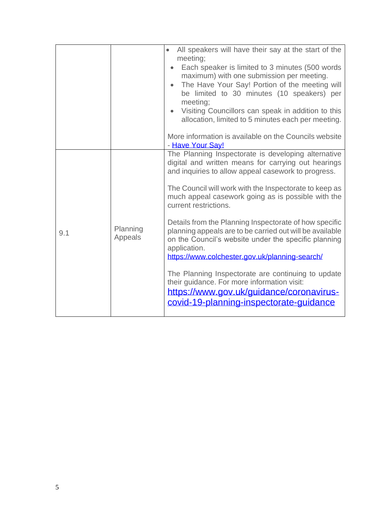|     |                     | All speakers will have their say at the start of the<br>meeting;<br>Each speaker is limited to 3 minutes (500 words<br>maximum) with one submission per meeting.<br>The Have Your Say! Portion of the meeting will<br>$\bullet$<br>be limited to 30 minutes (10 speakers) per<br>meeting;<br>Visiting Councillors can speak in addition to this<br>allocation, limited to 5 minutes each per meeting.<br>More information is available on the Councils website                                                                                                                                                                                                                                                                                                             |
|-----|---------------------|----------------------------------------------------------------------------------------------------------------------------------------------------------------------------------------------------------------------------------------------------------------------------------------------------------------------------------------------------------------------------------------------------------------------------------------------------------------------------------------------------------------------------------------------------------------------------------------------------------------------------------------------------------------------------------------------------------------------------------------------------------------------------|
| 9.1 | Planning<br>Appeals | - Have Your Say!<br>The Planning Inspectorate is developing alternative<br>digital and written means for carrying out hearings<br>and inquiries to allow appeal casework to progress.<br>The Council will work with the Inspectorate to keep as<br>much appeal casework going as is possible with the<br>current restrictions.<br>Details from the Planning Inspectorate of how specific<br>planning appeals are to be carried out will be available<br>on the Council's website under the specific planning<br>application.<br>https://www.colchester.gov.uk/planning-search/<br>The Planning Inspectorate are continuing to update<br>their guidance. For more information visit:<br>https://www.gov.uk/guidance/coronavirus-<br>covid-19-planning-inspectorate-guidance |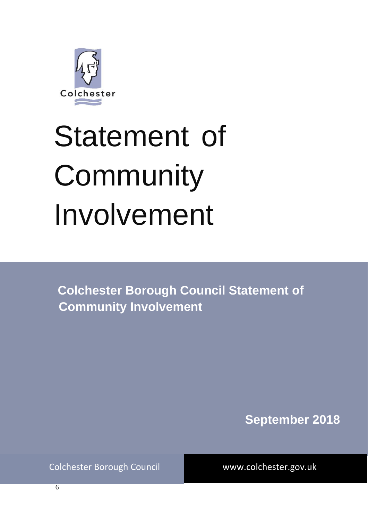

# Statement of **Community** Involvement

**Colchester Borough Council Statement of Community Involvement**

**September 2018**

Colchester Borough Council www.colchester.gov.uk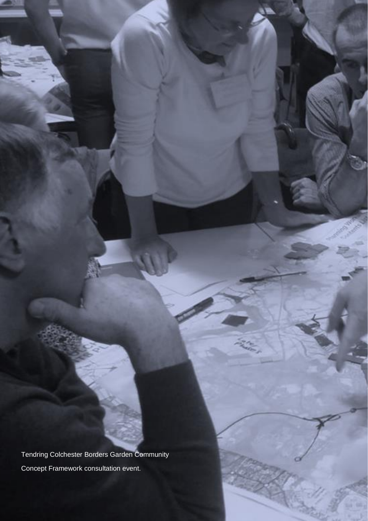Tendring Colchester Borders Garden Community Concept Framework consultation event.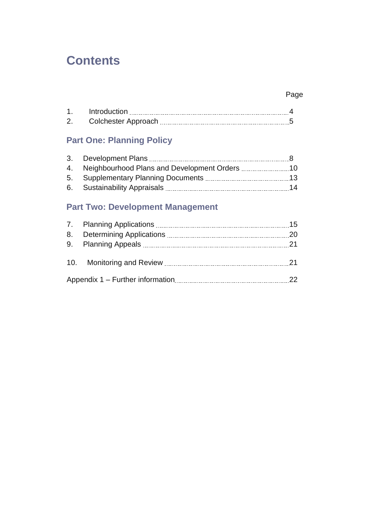## **Contents**

## Page

|              | Introduction               |  |
|--------------|----------------------------|--|
| $\mathbf{2}$ | <b>Colchester Approach</b> |  |

## **Part One: Planning Policy**

| 4. Neighbourhood Plans and Development Orders | 10   |
|-----------------------------------------------|------|
| 5. Supplementary Planning Documents           | - 13 |
| 6. Sustainability Appraisals                  | 14   |

## **Part Two: Development Management**

|    |  | 15  |
|----|--|-----|
| 8. |  | 20  |
|    |  | 21  |
|    |  | -21 |
|    |  |     |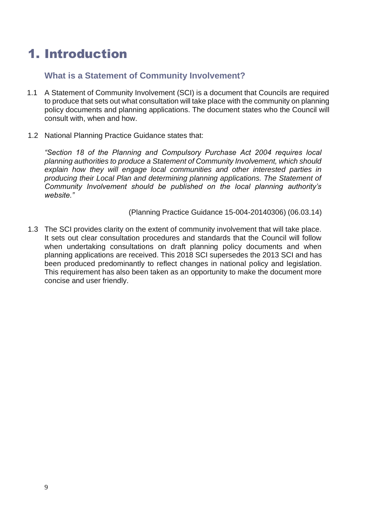# 1. Introduction

#### **What is a Statement of Community Involvement?**

- 1.1 A Statement of Community Involvement (SCI) is a document that Councils are required to produce that sets out what consultation will take place with the community on planning policy documents and planning applications. The document states who the Council will consult with, when and how.
- 1.2 National Planning Practice Guidance states that:

*"Section 18 of the Planning and Compulsory Purchase Act 2004 requires local planning authorities to produce a Statement of Community Involvement, which should explain how they will engage local communities and other interested parties in producing their Local Plan and determining planning applications. The Statement of Community Involvement should be published on the local planning authority's website."*

(Planning Practice Guidance 15-004-20140306) (06.03.14)

1.3 The SCI provides clarity on the extent of community involvement that will take place. It sets out clear consultation procedures and standards that the Council will follow when undertaking consultations on draft planning policy documents and when planning applications are received. This 2018 SCI supersedes the 2013 SCI and has been produced predominantly to reflect changes in national policy and legislation. This requirement has also been taken as an opportunity to make the document more concise and user friendly.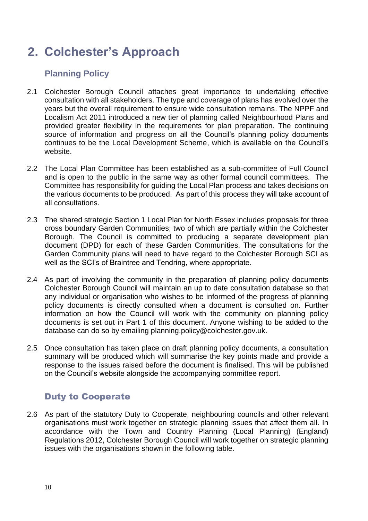# **2. Colchester's Approach**

## **Planning Policy**

- 2.1 Colchester Borough Council attaches great importance to undertaking effective consultation with all stakeholders. The type and coverage of plans has evolved over the years but the overall requirement to ensure wide consultation remains. The NPPF and Localism Act 2011 introduced a new tier of planning called Neighbourhood Plans and provided greater flexibility in the requirements for plan preparation. The continuing source of information and progress on all the Council's planning policy documents continues to be the Local Development Scheme, which is available on the Council's website.
- 2.2 The Local Plan Committee has been established as a sub-committee of Full Council and is open to the public in the same way as other formal council committees. The Committee has responsibility for guiding the Local Plan process and takes decisions on the various documents to be produced. As part of this process they will take account of all consultations.
- 2.3 The shared strategic Section 1 Local Plan for North Essex includes proposals for three cross boundary Garden Communities; two of which are partially within the Colchester Borough. The Council is committed to producing a separate development plan document (DPD) for each of these Garden Communities. The consultations for the Garden Community plans will need to have regard to the Colchester Borough SCI as well as the SCI's of Braintree and Tendring, where appropriate.
- 2.4 As part of involving the community in the preparation of planning policy documents Colchester Borough Council will maintain an up to date consultation database so that any individual or organisation who wishes to be informed of the progress of planning policy documents is directly consulted when a document is consulted on. Further information on how the Council will work with the community on planning policy documents is set out in Part 1 of this document. Anyone wishing to be added to the database can do so by emailing planning.policy@colchester.gov.uk.
- 2.5 Once consultation has taken place on draft planning policy documents, a consultation summary will be produced which will summarise the key points made and provide a response to the issues raised before the document is finalised. This will be published on the Council's website alongside the accompanying committee report.

## Duty to Cooperate

2.6 As part of the statutory Duty to Cooperate, neighbouring councils and other relevant organisations must work together on strategic planning issues that affect them all. In accordance with the Town and Country Planning (Local Planning) (England) Regulations 2012, Colchester Borough Council will work together on strategic planning issues with the organisations shown in the following table.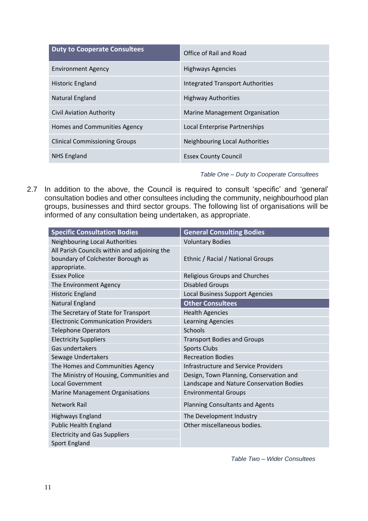| <b>Duty to Cooperate Consultees</b>  | Office of Rail and Road                 |
|--------------------------------------|-----------------------------------------|
| <b>Environment Agency</b>            | <b>Highways Agencies</b>                |
| <b>Historic England</b>              | <b>Integrated Transport Authorities</b> |
| Natural England                      | <b>Highway Authorities</b>              |
| Civil Aviation Authority             | Marine Management Organisation          |
| Homes and Communities Agency         | Local Enterprise Partnerships           |
| <b>Clinical Commissioning Groups</b> | Neighbouring Local Authorities          |
| <b>NHS England</b>                   | <b>Essex County Council</b>             |

#### *Table One – Duty to Cooperate Consultees*

2.7 In addition to the above, the Council is required to consult 'specific' and 'general' consultation bodies and other consultees including the community, neighbourhood plan groups, businesses and third sector groups. The following list of organisations will be informed of any consultation being undertaken, as appropriate.

| <b>Specific Consultation Bodies</b>                                                               | <b>General Consulting Bodies</b>                                                    |
|---------------------------------------------------------------------------------------------------|-------------------------------------------------------------------------------------|
| Neighbouring Local Authorities                                                                    | <b>Voluntary Bodies</b>                                                             |
| All Parish Councils within and adjoining the<br>boundary of Colchester Borough as<br>appropriate. | Ethnic / Racial / National Groups                                                   |
| <b>Essex Police</b>                                                                               | <b>Religious Groups and Churches</b>                                                |
| The Environment Agency                                                                            | <b>Disabled Groups</b>                                                              |
| Historic England                                                                                  | <b>Local Business Support Agencies</b>                                              |
| Natural England                                                                                   | <b>Other Consultees</b>                                                             |
| The Secretary of State for Transport                                                              | <b>Health Agencies</b>                                                              |
| <b>Electronic Communication Providers</b>                                                         | <b>Learning Agencies</b>                                                            |
| <b>Telephone Operators</b>                                                                        | Schools                                                                             |
| <b>Electricity Suppliers</b>                                                                      | <b>Transport Bodies and Groups</b>                                                  |
| Gas undertakers                                                                                   | <b>Sports Clubs</b>                                                                 |
| Sewage Undertakers                                                                                | <b>Recreation Bodies</b>                                                            |
| The Homes and Communities Agency                                                                  | <b>Infrastructure and Service Providers</b>                                         |
| The Ministry of Housing, Communities and<br><b>Local Government</b>                               | Design, Town Planning, Conservation and<br>Landscape and Nature Conservation Bodies |
| <b>Marine Management Organisations</b>                                                            | <b>Environmental Groups</b>                                                         |
| <b>Network Rail</b>                                                                               | <b>Planning Consultants and Agents</b>                                              |
| <b>Highways England</b>                                                                           | The Development Industry                                                            |
| <b>Public Health England</b>                                                                      | Other miscellaneous bodies.                                                         |
| <b>Electricity and Gas Suppliers</b>                                                              |                                                                                     |
| <b>Sport England</b>                                                                              |                                                                                     |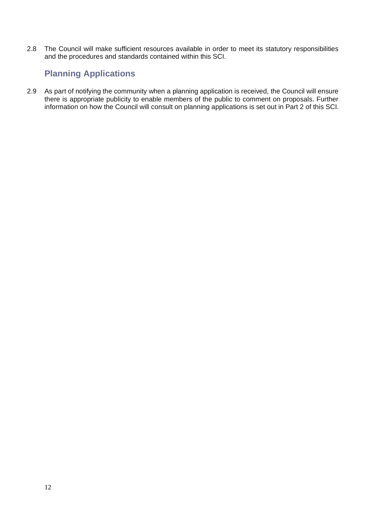2.8 The Council will make sufficient resources available in order to meet its statutory responsibilities and the procedures and standards contained within this SCI.

## **Planning Applications**

2.9 As part of notifying the community when a planning application is received, the Council will ensure there is appropriate publicity to enable members of the public to comment on proposals. Further information on how the Council will consult on planning applications is set out in Part 2 of this SCI.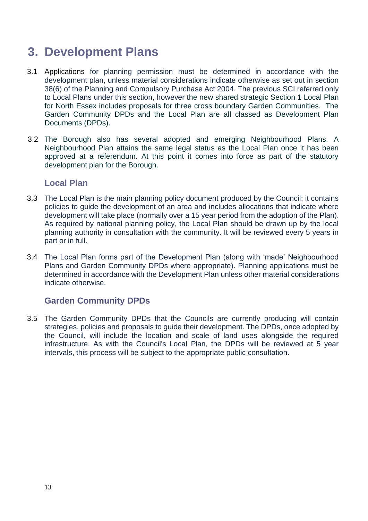# **3. Development Plans**

- 3.1 Applications for planning permission must be determined in accordance with the development plan, unless material considerations indicate otherwise as set out in section 38(6) of the Planning and Compulsory Purchase Act 2004. The previous SCI referred only to Local Plans under this section, however the new shared strategic Section 1 Local Plan for North Essex includes proposals for three cross boundary Garden Communities. The Garden Community DPDs and the Local Plan are all classed as Development Plan Documents (DPDs).
- 3.2 The Borough also has several adopted and emerging Neighbourhood Plans. A Neighbourhood Plan attains the same legal status as the Local Plan once it has been approved at a referendum. At this point it comes into force as part of the statutory development plan for the Borough.

#### **Local Plan**

- 3.3 The Local Plan is the main planning policy document produced by the Council; it contains policies to guide the development of an area and includes allocations that indicate where development will take place (normally over a 15 year period from the adoption of the Plan). As required by national planning policy, the Local Plan should be drawn up by the local planning authority in consultation with the community. It will be reviewed every 5 years in part or in full.
- 3.4 The Local Plan forms part of the Development Plan (along with 'made' Neighbourhood Plans and Garden Community DPDs where appropriate). Planning applications must be determined in accordance with the Development Plan unless other material considerations indicate otherwise.

#### **Garden Community DPDs**

3.5 The Garden Community DPDs that the Councils are currently producing will contain strategies, policies and proposals to guide their development. The DPDs, once adopted by the Council, will include the location and scale of land uses alongside the required infrastructure. As with the Council's Local Plan, the DPDs will be reviewed at 5 year intervals, this process will be subject to the appropriate public consultation.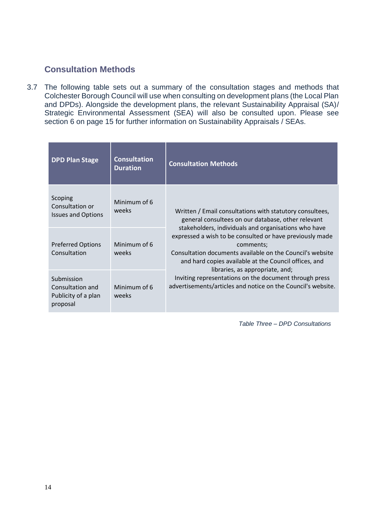#### **Consultation Methods**

3.7 The following table sets out a summary of the consultation stages and methods that Colchester Borough Council will use when consulting on development plans (the Local Plan and DPDs). Alongside the development plans, the relevant Sustainability Appraisal (SA)/ Strategic Environmental Assessment (SEA) will also be consulted upon. Please see section 6 on page 15 for further information on Sustainability Appraisals / SEAs.

| <b>DPD Plan Stage</b>                                             | <b>Consultation</b><br><b>Duration</b> | <b>Consultation Methods</b>                                                                                                                                                                                                                                                                                                                                                                                                                                                                                                        |
|-------------------------------------------------------------------|----------------------------------------|------------------------------------------------------------------------------------------------------------------------------------------------------------------------------------------------------------------------------------------------------------------------------------------------------------------------------------------------------------------------------------------------------------------------------------------------------------------------------------------------------------------------------------|
| Scoping<br>Consultation or<br><b>Issues and Options</b>           | Minimum of 6<br>weeks                  | Written / Email consultations with statutory consultees,<br>general consultees on our database, other relevant<br>stakeholders, individuals and organisations who have<br>expressed a wish to be consulted or have previously made<br>comments;<br>Consultation documents available on the Council's website<br>and hard copies available at the Council offices, and<br>libraries, as appropriate, and;<br>Inviting representations on the document through press<br>advertisements/articles and notice on the Council's website. |
| <b>Preferred Options</b><br>Consultation                          | Minimum of 6<br>weeks                  |                                                                                                                                                                                                                                                                                                                                                                                                                                                                                                                                    |
| Submission<br>Consultation and<br>Publicity of a plan<br>proposal | Minimum of 6<br>weeks                  |                                                                                                                                                                                                                                                                                                                                                                                                                                                                                                                                    |

*Table Three – DPD Consultations*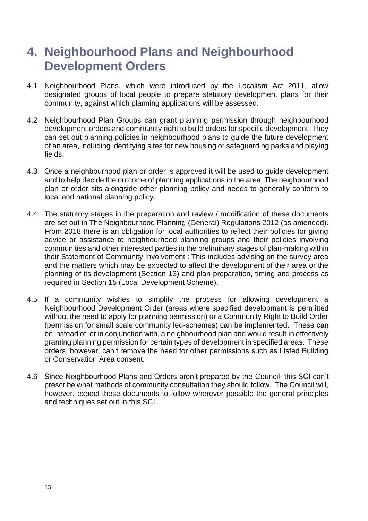# **4. Neighbourhood Plans and Neighbourhood Development Orders**

- 4.1 Neighbourhood Plans, which were introduced by the Localism Act 2011, allow designated groups of local people to prepare statutory development plans for their community, against which planning applications will be assessed.
- 4.2 Neighbourhood Plan Groups can grant planning permission through neighbourhood development orders and community right to build orders for specific development. They can set out planning policies in neighbourhood plans to guide the future development of an area, including identifying sites for new housing or safeguarding parks and playing fields.
- 4.3 Once a neighbourhood plan or order is approved it will be used to guide development and to help decide the outcome of planning applications in the area. The neighbourhood plan or order sits alongside other planning policy and needs to generally conform to local and national planning policy.
- 4.4 The statutory stages in the preparation and review / modification of these documents are set out in The Neighbourhood Planning (General) Regulations 2012 (as amended). From 2018 there is an obligation for local authorities to reflect their policies for giving advice or assistance to neighbourhood planning groups and their policies involving communities and other interested parties in the preliminary stages of plan-making within their Statement of Community Involvement : This includes advising on the survey area and the matters which may be expected to affect the development of their area or the planning of its development (Section 13) and plan preparation, timing and process as required in Section 15 (Local Development Scheme).
- 4.5 If a community wishes to simplify the process for allowing development a Neighbourhood Development Order (areas where specified development is permitted without the need to apply for planning permission) or a Community Right to Build Order (permission for small scale community led-schemes) can be implemented. These can be instead of, or in conjunction with, a neighbourhood plan and would result in effectively granting planning permission for certain types of development in specified areas. These orders, however, can't remove the need for other permissions such as Listed Building or Conservation Area consent.
- 4.6 Since Neighbourhood Plans and Orders aren't prepared by the Council; this SCI can't prescribe what methods of community consultation they should follow. The Council will, however, expect these documents to follow wherever possible the general principles and techniques set out in this SCI.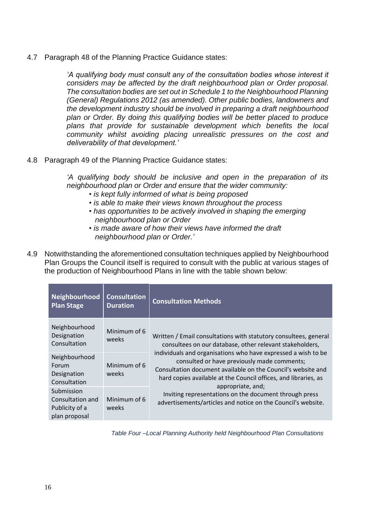4.7 Paragraph 48 of the Planning Practice Guidance states:

*'A qualifying body must consult any of the consultation bodies whose interest it considers may be affected by the draft neighbourhood plan or Order proposal. The consultation bodies are set out in Schedule 1 to the Neighbourhood Planning (General) Regulations 2012 (as amended). Other public bodies, landowners and the development industry should be involved in preparing a draft neighbourhood plan or Order. By doing this qualifying bodies will be better placed to produce plans that provide for sustainable development which benefits the local community whilst avoiding placing unrealistic pressures on the cost and deliverability of that development.'*

4.8 Paragraph 49 of the Planning Practice Guidance states:

*'A qualifying body should be inclusive and open in the preparation of its neighbourhood plan or Order and ensure that the wider community:*

- *• is kept fully informed of what is being proposed*
- *• is able to make their views known throughout the process*
- *• has opportunities to be actively involved in shaping the emerging neighbourhood plan or Order*
- *• is made aware of how their views have informed the draft neighbourhood plan or Order.'*
- 4.9 Notwithstanding the aforementioned consultation techniques applied by Neighbourhood Plan Groups the Council itself is required to consult with the public at various stages of the production of Neighbourhood Plans in line with the table shown below:

| Neighbourhood<br><b>Plan Stage</b>                                | <b>Consultation</b><br><b>Duration</b> | <b>Consultation Methods</b>                                                                                                                                                                                                                                                                                                                                                                                                                                                                                                    |
|-------------------------------------------------------------------|----------------------------------------|--------------------------------------------------------------------------------------------------------------------------------------------------------------------------------------------------------------------------------------------------------------------------------------------------------------------------------------------------------------------------------------------------------------------------------------------------------------------------------------------------------------------------------|
| Neighbourhood<br>Designation<br>Consultation                      | Minimum of 6<br>weeks                  | Written / Email consultations with statutory consultees, general<br>consultees on our database, other relevant stakeholders,<br>individuals and organisations who have expressed a wish to be<br>consulted or have previously made comments;<br>Consultation document available on the Council's website and<br>hard copies available at the Council offices, and libraries, as<br>appropriate, and;<br>Inviting representations on the document through press<br>advertisements/articles and notice on the Council's website. |
| Neighbourhood<br>Forum<br>Designation<br>Consultation             | Minimum of 6<br>weeks                  |                                                                                                                                                                                                                                                                                                                                                                                                                                                                                                                                |
| Submission<br>Consultation and<br>Publicity of a<br>plan proposal | Minimum of 6<br>weeks                  |                                                                                                                                                                                                                                                                                                                                                                                                                                                                                                                                |

*Table Four –Local Planning Authority held Neighbourhood Plan Consultations*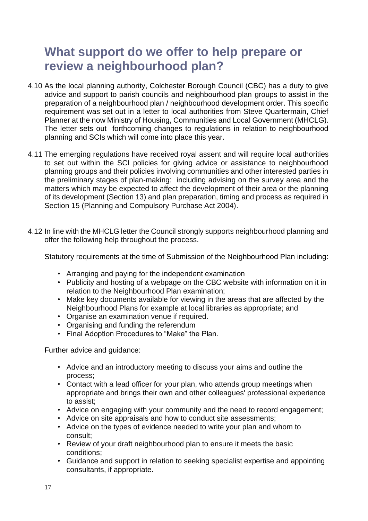# **What support do we offer to help prepare or review a neighbourhood plan?**

- 4.10 As the local planning authority, Colchester Borough Council (CBC) has a duty to give advice and support to parish councils and neighbourhood plan groups to assist in the preparation of a neighbourhood plan / neighbourhood development order. This specific requirement was set out in a letter to local authorities from Steve Quartermain, Chief Planner at the now Ministry of Housing, Communities and Local Government (MHCLG). The letter sets out forthcoming changes to regulations in relation to neighbourhood planning and SCIs which will come into place this year.
- 4.11 The emerging regulations have received royal assent and will require local authorities to set out within the SCI policies for giving advice or assistance to neighbourhood planning groups and their policies involving communities and other interested parties in the preliminary stages of plan-making: including advising on the survey area and the matters which may be expected to affect the development of their area or the planning of its development (Section 13) and plan preparation, timing and process as required in Section 15 (Planning and Compulsory Purchase Act 2004).
- 4.12 In line with the MHCLG letter the Council strongly supports neighbourhood planning and offer the following help throughout the process.

Statutory requirements at the time of Submission of the Neighbourhood Plan including:

- Arranging and paying for the independent examination
- Publicity and hosting of a webpage on the CBC website with information on it in relation to the Neighbourhood Plan examination;
- Make key documents available for viewing in the areas that are affected by the Neighbourhood Plans for example at local libraries as appropriate; and
- Organise an examination venue if required.
- Organising and funding the referendum
- Final Adoption Procedures to "Make" the Plan.

Further advice and guidance:

- Advice and an introductory meeting to discuss your aims and outline the process;
- Contact with a lead officer for your plan, who attends group meetings when appropriate and brings their own and other colleagues' professional experience to assist;
- Advice on engaging with your community and the need to record engagement;
- Advice on site appraisals and how to conduct site assessments;
- Advice on the types of evidence needed to write your plan and whom to consult;
- Review of your draft neighbourhood plan to ensure it meets the basic conditions;
- Guidance and support in relation to seeking specialist expertise and appointing consultants, if appropriate.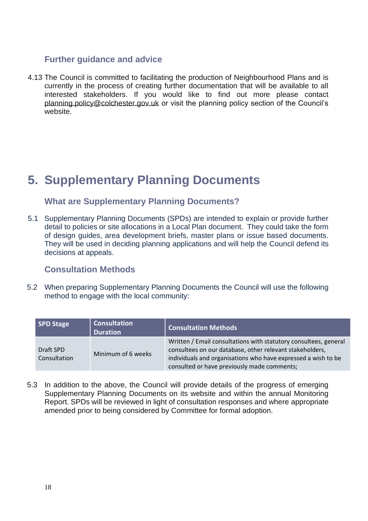#### **Further guidance and advice**

4.13 The Council is committed to facilitating the production of Neighbourhood Plans and is currently in the process of creating further documentation that will be available to all interested stakeholders. If you would like to find out more please contact [planning.policy@colchester.gov.uk](mailto:planning.policy@colchester.gov.uk) or visit the planning policy section of the Council's website.

# **5. Supplementary Planning Documents**

#### **What are Supplementary Planning Documents?**

5.1 Supplementary Planning Documents (SPDs) are intended to explain or provide further detail to policies or site allocations in a Local Plan document. They could take the form of design guides, area development briefs, master plans or issue based documents. They will be used in deciding planning applications and will help the Council defend its decisions at appeals.

#### **Consultation Methods**

5.2 When preparing Supplementary Planning Documents the Council will use the following method to engage with the local community:

| <b>SPD Stage</b>          | <b>Consultation</b><br><b>Duration</b> | <b>Consultation Methods</b>                                                                                                                                                                                                                  |
|---------------------------|----------------------------------------|----------------------------------------------------------------------------------------------------------------------------------------------------------------------------------------------------------------------------------------------|
| Draft SPD<br>Consultation | Minimum of 6 weeks                     | Written / Email consultations with statutory consultees, general<br>consultees on our database, other relevant stakeholders,<br>individuals and organisations who have expressed a wish to be<br>consulted or have previously made comments; |

5.3 In addition to the above, the Council will provide details of the progress of emerging Supplementary Planning Documents on its website and within the annual Monitoring Report. SPDs will be reviewed in light of consultation responses and where appropriate amended prior to being considered by Committee for formal adoption.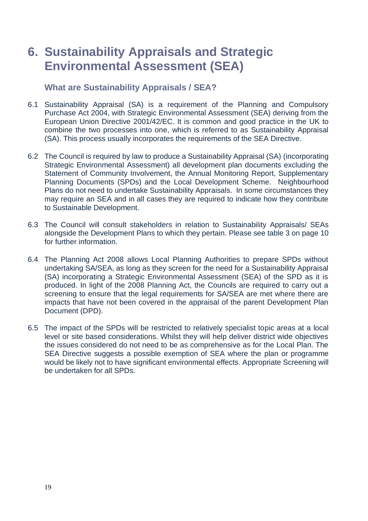# **6. Sustainability Appraisals and Strategic Environmental Assessment (SEA)**

#### **What are Sustainability Appraisals / SEA?**

- 6.1 Sustainability Appraisal (SA) is a requirement of the Planning and Compulsory Purchase Act 2004, with Strategic Environmental Assessment (SEA) deriving from the European Union Directive 2001/42/EC. It is common and good practice in the UK to combine the two processes into one, which is referred to as Sustainability Appraisal (SA). This process usually incorporates the requirements of the SEA Directive.
- 6.2 The Council is required by law to produce a Sustainability Appraisal (SA) (incorporating Strategic Environmental Assessment) all development plan documents excluding the Statement of Community Involvement, the Annual Monitoring Report, Supplementary Planning Documents (SPDs) and the Local Development Scheme. Neighbourhood Plans do not need to undertake Sustainability Appraisals. In some circumstances they may require an SEA and in all cases they are required to indicate how they contribute to Sustainable Development.
- 6.3 The Council will consult stakeholders in relation to Sustainability Appraisals/ SEAs alongside the Development Plans to which they pertain. Please see table 3 on page 10 for further information.
- 6.4 The Planning Act 2008 allows Local Planning Authorities to prepare SPDs without undertaking SA/SEA, as long as they screen for the need for a Sustainability Appraisal (SA) incorporating a Strategic Environmental Assessment (SEA) of the SPD as it is produced. In light of the 2008 Planning Act, the Councils are required to carry out a screening to ensure that the legal requirements for SA/SEA are met where there are impacts that have not been covered in the appraisal of the parent Development Plan Document (DPD).
- 6.5 The impact of the SPDs will be restricted to relatively specialist topic areas at a local level or site based considerations. Whilst they will help deliver district wide objectives the issues considered do not need to be as comprehensive as for the Local Plan. The SEA Directive suggests a possible exemption of SEA where the plan or programme would be likely not to have significant environmental effects. Appropriate Screening will be undertaken for all SPDs.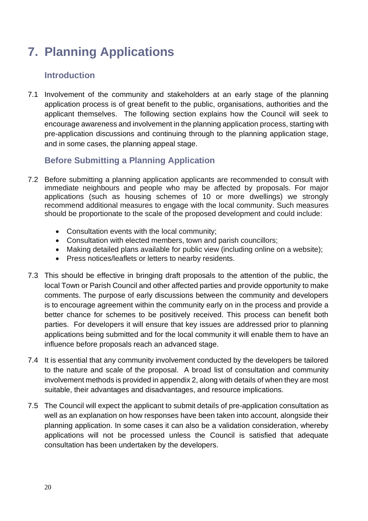# **7. Planning Applications**

### **Introduction**

7.1 Involvement of the community and stakeholders at an early stage of the planning application process is of great benefit to the public, organisations, authorities and the applicant themselves. The following section explains how the Council will seek to encourage awareness and involvement in the planning application process, starting with pre-application discussions and continuing through to the planning application stage, and in some cases, the planning appeal stage.

## **Before Submitting a Planning Application**

- 7.2 Before submitting a planning application applicants are recommended to consult with immediate neighbours and people who may be affected by proposals. For major applications (such as housing schemes of 10 or more dwellings) we strongly recommend additional measures to engage with the local community. Such measures should be proportionate to the scale of the proposed development and could include:
	- Consultation events with the local community;
	- Consultation with elected members, town and parish councillors;
	- Making detailed plans available for public view (including online on a website);
	- Press notices/leaflets or letters to nearby residents.
- 7.3 This should be effective in bringing draft proposals to the attention of the public, the local Town or Parish Council and other affected parties and provide opportunity to make comments. The purpose of early discussions between the community and developers is to encourage agreement within the community early on in the process and provide a better chance for schemes to be positively received. This process can benefit both parties. For developers it will ensure that key issues are addressed prior to planning applications being submitted and for the local community it will enable them to have an influence before proposals reach an advanced stage.
- 7.4 It is essential that any community involvement conducted by the developers be tailored to the nature and scale of the proposal. A broad list of consultation and community involvement methods is provided in appendix 2, along with details of when they are most suitable, their advantages and disadvantages, and resource implications.
- 7.5 The Council will expect the applicant to submit details of pre-application consultation as well as an explanation on how responses have been taken into account, alongside their planning application. In some cases it can also be a validation consideration, whereby applications will not be processed unless the Council is satisfied that adequate consultation has been undertaken by the developers.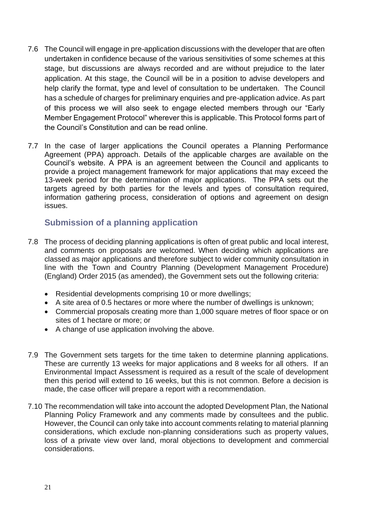- 7.6 The Council will engage in pre-application discussions with the developer that are often undertaken in confidence because of the various sensitivities of some schemes at this stage, but discussions are always recorded and are without prejudice to the later application. At this stage, the Council will be in a position to advise developers and help clarify the format, type and level of consultation to be undertaken. The Council has a schedule of charges for preliminary enquiries and pre-application advice. As part of this process we will also seek to engage elected members through our "Early Member Engagement Protocol" wherever this is applicable. This Protocol forms part of the Council's Constitution and can be read online.
- 7.7 In the case of larger applications the Council operates a Planning Performance Agreement (PPA) approach. Details of the applicable charges are available on the Council's website. A PPA is an agreement between the Council and applicants to provide a project management framework for major applications that may exceed the 13-week period for the determination of major applications. The PPA sets out the targets agreed by both parties for the levels and types of consultation required, information gathering process, consideration of options and agreement on design issues.

#### **Submission of a planning application**

- 7.8 The process of deciding planning applications is often of great public and local interest, and comments on proposals are welcomed. When deciding which applications are classed as major applications and therefore subject to wider community consultation in line with the Town and Country Planning (Development Management Procedure) (England) Order 2015 (as amended), the Government sets out the following criteria:
	- Residential developments comprising 10 or more dwellings;
	- A site area of 0.5 hectares or more where the number of dwellings is unknown;
	- Commercial proposals creating more than 1,000 square metres of floor space or on sites of 1 hectare or more; or
	- A change of use application involving the above.
- 7.9 The Government sets targets for the time taken to determine planning applications. These are currently 13 weeks for major applications and 8 weeks for all others. If an Environmental Impact Assessment is required as a result of the scale of development then this period will extend to 16 weeks, but this is not common. Before a decision is made, the case officer will prepare a report with a recommendation.
- 7.10 The recommendation will take into account the adopted Development Plan, the National Planning Policy Framework and any comments made by consultees and the public. However, the Council can only take into account comments relating to material planning considerations, which exclude non-planning considerations such as property values, loss of a private view over land, moral objections to development and commercial considerations.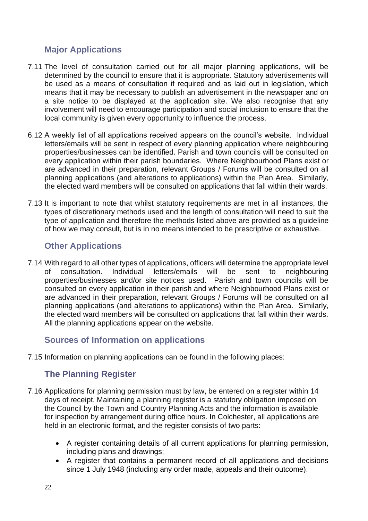### **Major Applications**

- 7.11 The level of consultation carried out for all major planning applications, will be determined by the council to ensure that it is appropriate. Statutory advertisements will be used as a means of consultation if required and as laid out in legislation, which means that it may be necessary to publish an advertisement in the newspaper and on a site notice to be displayed at the application site. We also recognise that any involvement will need to encourage participation and social inclusion to ensure that the local community is given every opportunity to influence the process.
- 6.12 A weekly list of all applications received appears on the council's website. Individual letters/emails will be sent in respect of every planning application where neighbouring properties/businesses can be identified. Parish and town councils will be consulted on every application within their parish boundaries. Where Neighbourhood Plans exist or are advanced in their preparation, relevant Groups / Forums will be consulted on all planning applications (and alterations to applications) within the Plan Area. Similarly, the elected ward members will be consulted on applications that fall within their wards.
- 7.13 It is important to note that whilst statutory requirements are met in all instances, the types of discretionary methods used and the length of consultation will need to suit the type of application and therefore the methods listed above are provided as a guideline of how we may consult, but is in no means intended to be prescriptive or exhaustive.

#### **Other Applications**

7.14 With regard to all other types of applications, officers will determine the appropriate level of consultation. Individual letters/emails will be sent to neighbouring properties/businesses and/or site notices used. Parish and town councils will be consulted on every application in their parish and where Neighbourhood Plans exist or are advanced in their preparation, relevant Groups / Forums will be consulted on all planning applications (and alterations to applications) within the Plan Area. Similarly, the elected ward members will be consulted on applications that fall within their wards. All the planning applications appear on the website.

#### **Sources of Information on applications**

7.15 Information on planning applications can be found in the following places:

## **The Planning Register**

- 7.16 Applications for planning permission must by law, be entered on a register within 14 days of receipt. Maintaining a planning register is a statutory obligation imposed on the Council by the Town and Country Planning Acts and the information is available for inspection by arrangement during office hours. In Colchester, all applications are held in an electronic format, and the register consists of two parts:
	- A register containing details of all current applications for planning permission, including plans and drawings;
	- A register that contains a permanent record of all applications and decisions since 1 July 1948 (including any order made, appeals and their outcome).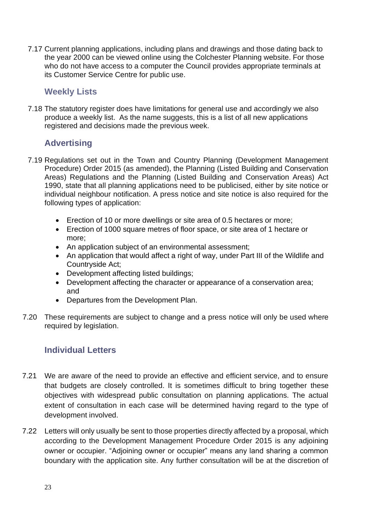7.17 Current planning applications, including plans and drawings and those dating back to the year 2000 can be viewed online using the Colchester Planning website. For those who do not have access to a computer the Council provides appropriate terminals at its Customer Service Centre for public use.

#### **Weekly Lists**

7.18 The statutory register does have limitations for general use and accordingly we also produce a weekly list. As the name suggests, this is a list of all new applications registered and decisions made the previous week.

#### **Advertising**

- 7.19 Regulations set out in the Town and Country Planning (Development Management Procedure) Order 2015 (as amended), the Planning (Listed Building and Conservation Areas) Regulations and the Planning (Listed Building and Conservation Areas) Act 1990, state that all planning applications need to be publicised, either by site notice or individual neighbour notification. A press notice and site notice is also required for the following types of application:
	- Erection of 10 or more dwellings or site area of 0.5 hectares or more;
	- Erection of 1000 square metres of floor space, or site area of 1 hectare or more;
	- An application subject of an environmental assessment;
	- An application that would affect a right of way, under Part III of the Wildlife and Countryside Act;
	- Development affecting listed buildings;
	- Development affecting the character or appearance of a conservation area; and
	- Departures from the Development Plan.
- 7.20 These requirements are subject to change and a press notice will only be used where required by legislation.

#### **Individual Letters**

- 7.21 We are aware of the need to provide an effective and efficient service, and to ensure that budgets are closely controlled. It is sometimes difficult to bring together these objectives with widespread public consultation on planning applications. The actual extent of consultation in each case will be determined having regard to the type of development involved.
- 7.22 Letters will only usually be sent to those properties directly affected by a proposal, which according to the Development Management Procedure Order 2015 is any adjoining owner or occupier. "Adjoining owner or occupier" means any land sharing a common boundary with the application site. Any further consultation will be at the discretion of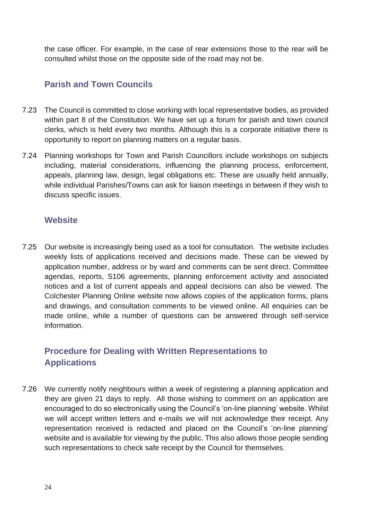the case officer. For example, in the case of rear extensions those to the rear will be consulted whilst those on the opposite side of the road may not be.

#### **Parish and Town Councils**

- 7.23 The Council is committed to close working with local representative bodies, as provided within part 8 of the Constitution. We have set up a forum for parish and town council clerks, which is held every two months. Although this is a corporate initiative there is opportunity to report on planning matters on a regular basis.
- 7.24 Planning workshops for Town and Parish Councillors include workshops on subjects including, material considerations, influencing the planning process, enforcement, appeals, planning law, design, legal obligations etc. These are usually held annually, while individual Parishes/Towns can ask for liaison meetings in between if they wish to discuss specific issues.

#### **Website**

7.25 Our website is increasingly being used as a tool for consultation. The website includes weekly lists of applications received and decisions made. These can be viewed by application number, address or by ward and comments can be sent direct. Committee agendas, reports, S106 agreements, planning enforcement activity and associated notices and a list of current appeals and appeal decisions can also be viewed. The Colchester Planning Online website now allows copies of the application forms, plans and drawings, and consultation comments to be viewed online. All enquiries can be made online, while a number of questions can be answered through self-service information.

## **Procedure for Dealing with Written Representations to Applications**

7.26 We currently notify neighbours within a week of registering a planning application and they are given 21 days to reply. All those wishing to comment on an application are encouraged to do so electronically using the Council's 'on-line planning' website. Whilst we will accept written letters and e-mails we will not acknowledge their receipt. Any representation received is redacted and placed on the Council's 'on-line planning' website and is available for viewing by the public. This also allows those people sending such representations to check safe receipt by the Council for themselves.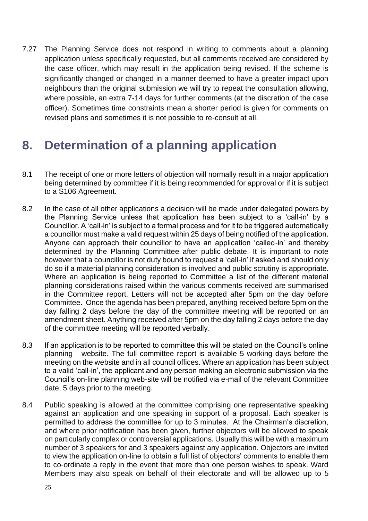7.27 The Planning Service does not respond in writing to comments about a planning application unless specifically requested, but all comments received are considered by the case officer, which may result in the application being revised. If the scheme is significantly changed or changed in a manner deemed to have a greater impact upon neighbours than the original submission we will try to repeat the consultation allowing, where possible, an extra 7-14 days for further comments (at the discretion of the case officer). Sometimes time constraints mean a shorter period is given for comments on revised plans and sometimes it is not possible to re-consult at all.

## **8. Determination of a planning application**

- 8.1 The receipt of one or more letters of objection will normally result in a major application being determined by committee if it is being recommended for approval or if it is subject to a S106 Agreement.
- 8.2 In the case of all other applications a decision will be made under delegated powers by the Planning Service unless that application has been subject to a 'call-in' by a Councillor. A 'call-in' is subject to a formal process and for it to be triggered automatically a councillor must make a valid request within 25 days of being notified of the application. Anyone can approach their councillor to have an application 'called-in' and thereby determined by the Planning Committee after public debate. It is important to note however that a councillor is not duty bound to request a 'call-in' if asked and should only do so if a material planning consideration is involved and public scrutiny is appropriate. Where an application is being reported to Committee a list of the different material planning considerations raised within the various comments received are summarised in the Committee report. Letters will not be accepted after 5pm on the day before Committee. Once the agenda has been prepared, anything received before 5pm on the day falling 2 days before the day of the committee meeting will be reported on an amendment sheet. Anything received after 5pm on the day falling 2 days before the day of the committee meeting will be reported verbally.
- 8.3 If an application is to be reported to committee this will be stated on the Council's online planning website. The full committee report is available 5 working days before the meeting on the website and in all council offices. Where an application has been subject to a valid 'call-in', the applicant and any person making an electronic submission via the Council's on-line planning web-site will be notified via e-mail of the relevant Committee date, 5 days prior to the meeting.
- 8.4 Public speaking is allowed at the committee comprising one representative speaking against an application and one speaking in support of a proposal. Each speaker is permitted to address the committee for up to 3 minutes. At the Chairman's discretion, and where prior notification has been given, further objectors will be allowed to speak on particularly complex or controversial applications. Usually this will be with a maximum number of 3 speakers for and 3 speakers against any application. Objectors are invited to view the application on-line to obtain a full list of objectors' comments to enable them to co-ordinate a reply in the event that more than one person wishes to speak. Ward Members may also speak on behalf of their electorate and will be allowed up to 5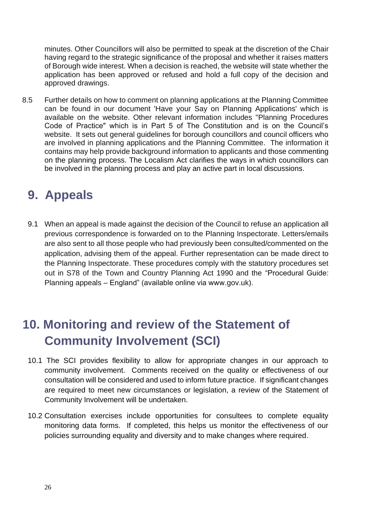minutes. Other Councillors will also be permitted to speak at the discretion of the Chair having regard to the strategic significance of the proposal and whether it raises matters of Borough wide interest. When a decision is reached, the website will state whether the application has been approved or refused and hold a full copy of the decision and approved drawings.

8.5 Further details on how to comment on planning applications at the Planning Committee can be found in our document 'Have your Say on Planning Applications' which is available on the website. Other relevant information includes "Planning Procedures Code of Practice" which is in Part 5 of The Constitution and is on the Council's website. It sets out general guidelines for borough councillors and council officers who are involved in planning applications and the Planning Committee. The information it contains may help provide background information to applicants and those commenting on the planning process. The Localism Act clarifies the ways in which councillors can be involved in the planning process and play an active part in local discussions.

# **9. Appeals**

9.1 When an appeal is made against the decision of the Council to refuse an application all previous correspondence is forwarded on to the Planning Inspectorate. Letters/emails are also sent to all those people who had previously been consulted/commented on the application, advising them of the appeal. Further representation can be made direct to the Planning Inspectorate. These procedures comply with the statutory procedures set out in S78 of the Town and Country Planning Act 1990 and the "Procedural Guide: Planning appeals – England" (available online via www.gov.uk).

# **10. Monitoring and review of the Statement of Community Involvement (SCI)**

- 10.1 The SCI provides flexibility to allow for appropriate changes in our approach to community involvement. Comments received on the quality or effectiveness of our consultation will be considered and used to inform future practice. If significant changes are required to meet new circumstances or legislation, a review of the Statement of Community Involvement will be undertaken.
- 10.2 Consultation exercises include opportunities for consultees to complete equality monitoring data forms. If completed, this helps us monitor the effectiveness of our policies surrounding equality and diversity and to make changes where required.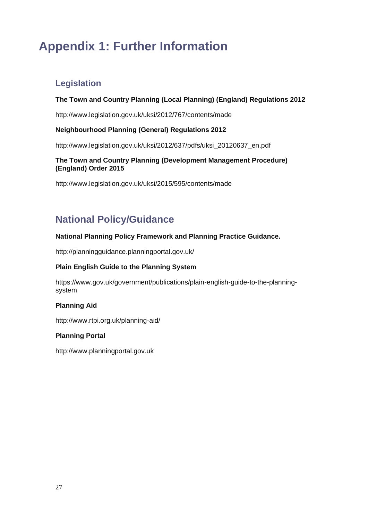# **Appendix 1: Further Information**

## **Legislation**

#### **The Town and Country Planning (Local Planning) (England) Regulations 2012**

http://www.legislation.gov.uk/uksi/2012/767/contents/made

#### **Neighbourhood Planning (General) Regulations 2012**

http://www.legislation.gov.uk/uksi/2012/637/pdfs/uksi\_20120637\_en.pdf

#### **The Town and Country Planning (Development Management Procedure) (England) Order 2015**

http://www.legislation.gov.uk/uksi/2015/595/contents/made

## **National Policy/Guidance**

#### **National Planning Policy Framework and Planning Practice Guidance.**

http://planningguidance.planningportal.gov.uk/

#### **Plain English Guide to the Planning System**

https://www.gov.uk/government/publications/plain-english-guide-to-the-planningsystem

#### **Planning Aid**

http://www.rtpi.org.uk/planning-aid/

#### **Planning Portal**

http://www.planningportal.gov.uk